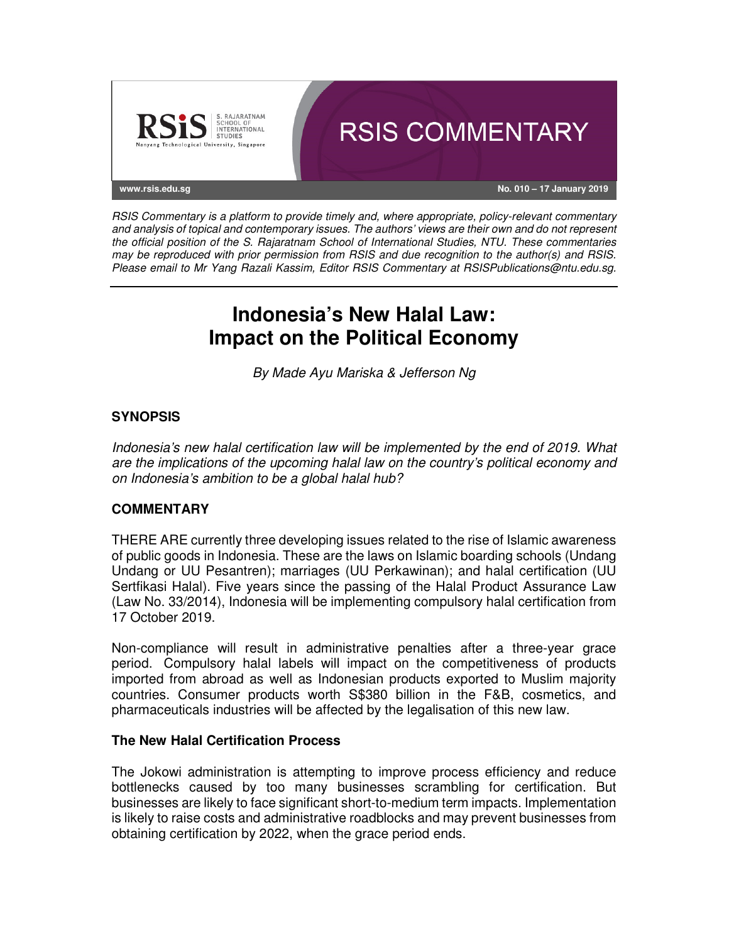

RSIS Commentary is a platform to provide timely and, where appropriate, policy-relevant commentary and analysis of topical and contemporary issues. The authors' views are their own and do not represent the official position of the S. Rajaratnam School of International Studies, NTU. These commentaries may be reproduced with prior permission from RSIS and due recognition to the author(s) and RSIS. Please email to Mr Yang Razali Kassim, Editor RSIS Commentary at RSISPublications@ntu.edu.sg.

# **Indonesia's New Halal Law: Impact on the Political Economy**

By Made Ayu Mariska & Jefferson Ng

## **SYNOPSIS**

Indonesia's new halal certification law will be implemented by the end of 2019. What are the implications of the upcoming halal law on the country's political economy and on Indonesia's ambition to be a global halal hub?

### **COMMENTARY**

THERE ARE currently three developing issues related to the rise of Islamic awareness of public goods in Indonesia. These are the laws on Islamic boarding schools (Undang Undang or UU Pesantren); marriages (UU Perkawinan); and halal certification (UU Sertfikasi Halal). Five years since the passing of the Halal Product Assurance Law (Law No. 33/2014), Indonesia will be implementing compulsory halal certification from 17 October 2019.

Non-compliance will result in administrative penalties after a three-year grace period. Compulsory halal labels will impact on the competitiveness of products imported from abroad as well as Indonesian products exported to Muslim majority countries. Consumer products worth S\$380 billion in the F&B, cosmetics, and pharmaceuticals industries will be affected by the legalisation of this new law.

### **The New Halal Certification Process**

The Jokowi administration is attempting to improve process efficiency and reduce bottlenecks caused by too many businesses scrambling for certification. But businesses are likely to face significant short-to-medium term impacts. Implementation is likely to raise costs and administrative roadblocks and may prevent businesses from obtaining certification by 2022, when the grace period ends.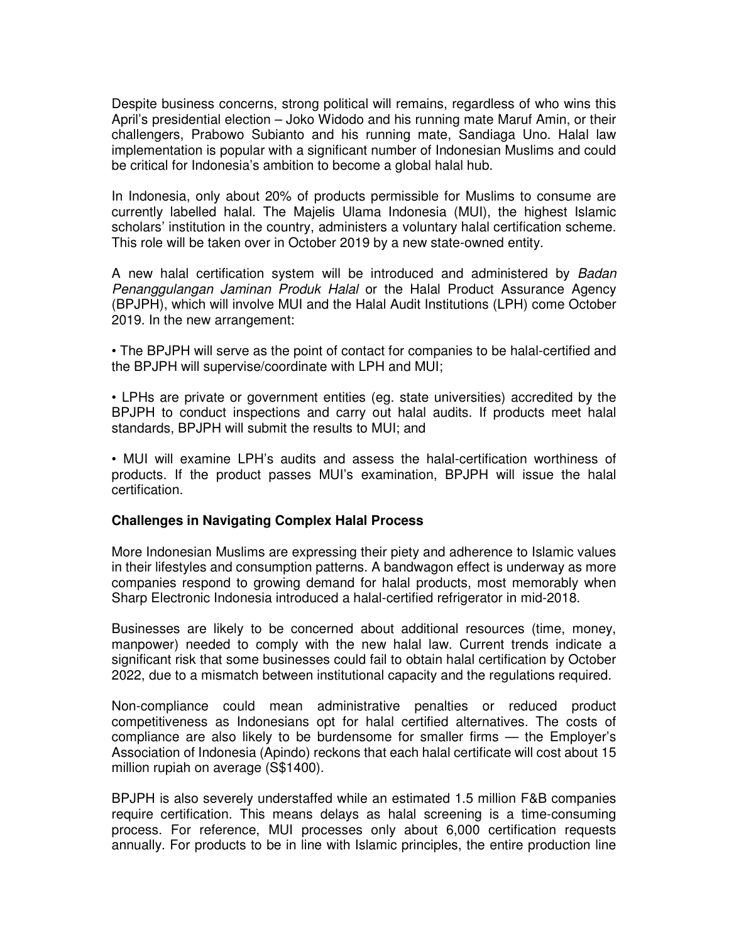Despite business concerns, strong political will remains, regardless of who wins this April's presidential election – Joko Widodo and his running mate Maruf Amin, or their challengers, Prabowo Subianto and his running mate, Sandiaga Uno. Halal law implementation is popular with a significant number of Indonesian Muslims and could be critical for Indonesia's ambition to become a global halal hub.

In Indonesia, only about 20% of products permissible for Muslims to consume are currently labelled halal. The Majelis Ulama Indonesia (MUI), the highest Islamic scholars' institution in the country, administers a voluntary halal certification scheme. This role will be taken over in October 2019 by a new state-owned entity.

A new halal certification system will be introduced and administered by Badan Penanggulangan Jaminan Produk Halal or the Halal Product Assurance Agency (BPJPH), which will involve MUI and the Halal Audit Institutions (LPH) come October 2019. In the new arrangement:

• The BPJPH will serve as the point of contact for companies to be halal-certified and the BPJPH will supervise/coordinate with LPH and MUI;

• LPHs are private or government entities (eg. state universities) accredited by the BPJPH to conduct inspections and carry out halal audits. If products meet halal standards, BPJPH will submit the results to MUI; and

• MUI will examine LPH's audits and assess the halal-certification worthiness of products. If the product passes MUI's examination, BPJPH will issue the halal certification.

#### **Challenges in Navigating Complex Halal Process**

More Indonesian Muslims are expressing their piety and adherence to Islamic values in their lifestyles and consumption patterns. A bandwagon effect is underway as more companies respond to growing demand for halal products, most memorably when Sharp Electronic Indonesia introduced a halal-certified refrigerator in mid-2018.

Businesses are likely to be concerned about additional resources (time, money, manpower) needed to comply with the new halal law. Current trends indicate a significant risk that some businesses could fail to obtain halal certification by October 2022, due to a mismatch between institutional capacity and the regulations required.

Non-compliance could mean administrative penalties or reduced product competitiveness as Indonesians opt for halal certified alternatives. The costs of compliance are also likely to be burdensome for smaller firms — the Employer's Association of Indonesia (Apindo) reckons that each halal certificate will cost about 15 million rupiah on average (S\$1400).

BPJPH is also severely understaffed while an estimated 1.5 million F&B companies require certification. This means delays as halal screening is a time-consuming process. For reference, MUI processes only about 6,000 certification requests annually. For products to be in line with Islamic principles, the entire production line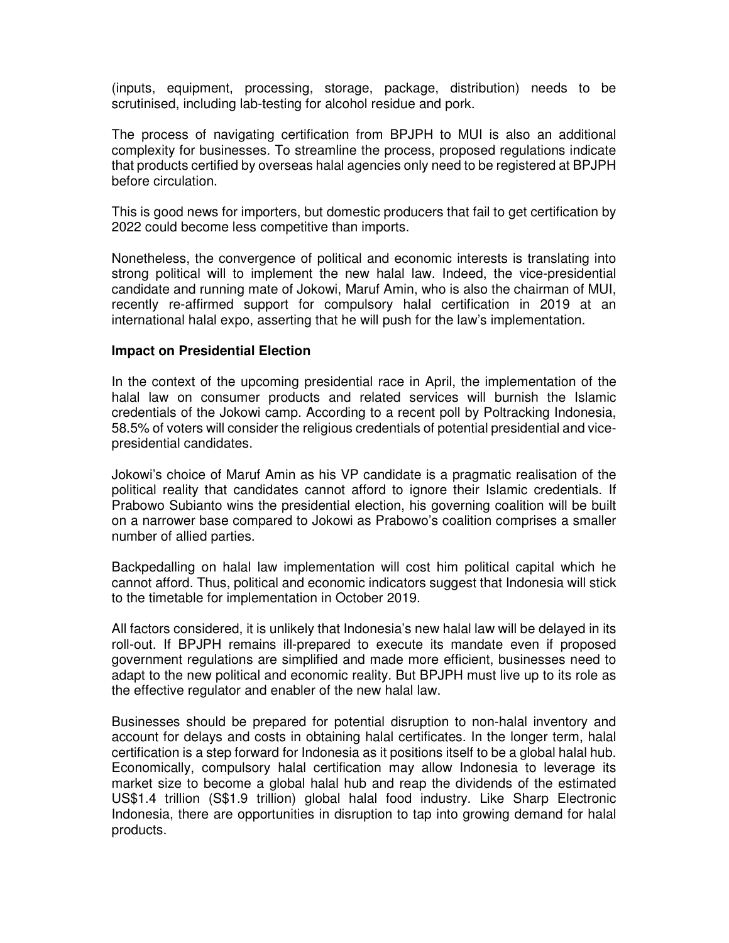(inputs, equipment, processing, storage, package, distribution) needs to be scrutinised, including lab-testing for alcohol residue and pork.

The process of navigating certification from BPJPH to MUI is also an additional complexity for businesses. To streamline the process, proposed regulations indicate that products certified by overseas halal agencies only need to be registered at BPJPH before circulation.

This is good news for importers, but domestic producers that fail to get certification by 2022 could become less competitive than imports.

Nonetheless, the convergence of political and economic interests is translating into strong political will to implement the new halal law. Indeed, the vice-presidential candidate and running mate of Jokowi, Maruf Amin, who is also the chairman of MUI, recently re-affirmed support for compulsory halal certification in 2019 at an international halal expo, asserting that he will push for the law's implementation.

#### **Impact on Presidential Election**

In the context of the upcoming presidential race in April, the implementation of the halal law on consumer products and related services will burnish the Islamic credentials of the Jokowi camp. According to a recent poll by Poltracking Indonesia, 58.5% of voters will consider the religious credentials of potential presidential and vicepresidential candidates.

Jokowi's choice of Maruf Amin as his VP candidate is a pragmatic realisation of the political reality that candidates cannot afford to ignore their Islamic credentials. If Prabowo Subianto wins the presidential election, his governing coalition will be built on a narrower base compared to Jokowi as Prabowo's coalition comprises a smaller number of allied parties.

Backpedalling on halal law implementation will cost him political capital which he cannot afford. Thus, political and economic indicators suggest that Indonesia will stick to the timetable for implementation in October 2019.

All factors considered, it is unlikely that Indonesia's new halal law will be delayed in its roll-out. If BPJPH remains ill-prepared to execute its mandate even if proposed government regulations are simplified and made more efficient, businesses need to adapt to the new political and economic reality. But BPJPH must live up to its role as the effective regulator and enabler of the new halal law.

Businesses should be prepared for potential disruption to non-halal inventory and account for delays and costs in obtaining halal certificates. In the longer term, halal certification is a step forward for Indonesia as it positions itself to be a global halal hub. Economically, compulsory halal certification may allow Indonesia to leverage its market size to become a global halal hub and reap the dividends of the estimated US\$1.4 trillion (S\$1.9 trillion) global halal food industry. Like Sharp Electronic Indonesia, there are opportunities in disruption to tap into growing demand for halal products.